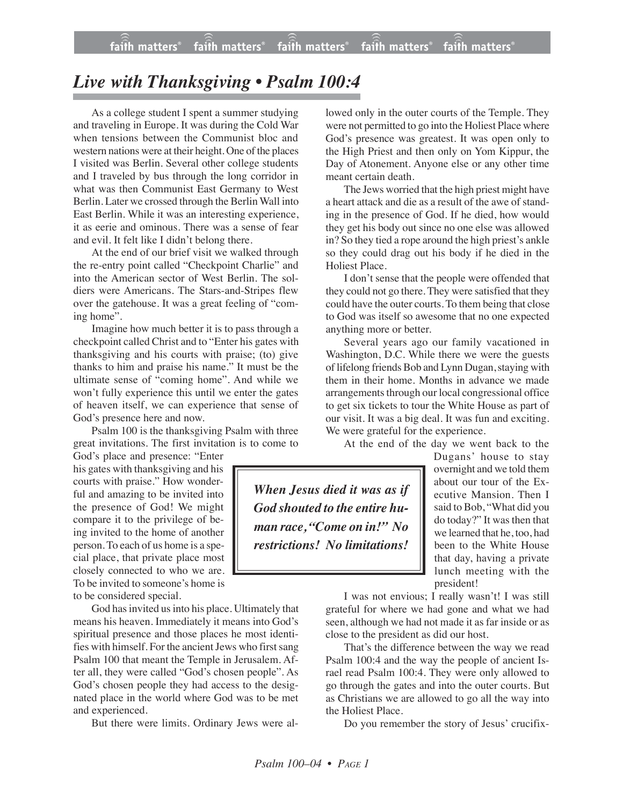## *Live with Thanksgiving • Psalm 100:4*

As a college student I spent a summer studying and traveling in Europe. It was during the Cold War when tensions between the Communist bloc and western nations were at their height. One of the places I visited was Berlin. Several other college students and I traveled by bus through the long corridor in what was then Communist East Germany to West Berlin. Later we crossed through the Berlin Wall into East Berlin. While it was an interesting experience, it as eerie and ominous. There was a sense of fear and evil. It felt like I didn't belong there.

At the end of our brief visit we walked through the re-entry point called "Checkpoint Charlie" and into the American sector of West Berlin. The soldiers were Americans. The Stars-and-Stripes flew over the gatehouse. It was a great feeling of "coming home".

Imagine how much better it is to pass through a checkpoint called Christ and to "Enter his gates with thanksgiving and his courts with praise; (to) give thanks to him and praise his name." It must be the ultimate sense of "coming home". And while we won't fully experience this until we enter the gates of heaven itself, we can experience that sense of God's presence here and now.

Psalm 100 is the thanksgiving Psalm with three great invitations. The first invitation is to come to

God's place and presence: "Enter his gates with thanksgiving and his courts with praise." How wonderful and amazing to be invited into the presence of God! We might compare it to the privilege of being invited to the home of another person. To each of us home is a special place, that private place most closely connected to who we are. To be invited to someone's home is to be considered special.

God has invited us into his place. Ultimately that means his heaven. Immediately it means into God's spiritual presence and those places he most identifies with himself. For the ancient Jews who first sang Psalm 100 that meant the Temple in Jerusalem. After all, they were called "God's chosen people". As God's chosen people they had access to the designated place in the world where God was to be met and experienced.

But there were limits. Ordinary Jews were al-

lowed only in the outer courts of the Temple. They were not permitted to go into the Holiest Place where God's presence was greatest. It was open only to the High Priest and then only on Yom Kippur, the Day of Atonement. Anyone else or any other time meant certain death.

The Jews worried that the high priest might have a heart attack and die as a result of the awe of standing in the presence of God. If he died, how would they get his body out since no one else was allowed in? So they tied a rope around the high priest's ankle so they could drag out his body if he died in the Holiest Place.

I don't sense that the people were offended that they could not go there. They were satisfied that they could have the outer courts. To them being that close to God was itself so awesome that no one expected anything more or better.

Several years ago our family vacationed in Washington, D.C. While there we were the guests of lifelong friends Bob and Lynn Dugan, staying with them in their home. Months in advance we made arrangements through our local congressional office to get six tickets to tour the White House as part of our visit. It was a big deal. It was fun and exciting. We were grateful for the experience.

At the end of the day we went back to the

*When Jesus died it was as if God shouted to the entire human race, "Come on in!" No restrictions! No limitations!*

Dugans' house to stay overnight and we told them about our tour of the Executive Mansion. Then I said to Bob, "What did you do today?" It was then that we learned that he, too, had been to the White House that day, having a private lunch meeting with the president!

I was not envious; I really wasn't! I was still grateful for where we had gone and what we had seen, although we had not made it as far inside or as close to the president as did our host.

That's the difference between the way we read Psalm 100:4 and the way the people of ancient Israel read Psalm 100:4. They were only allowed to go through the gates and into the outer courts. But as Christians we are allowed to go all the way into the Holiest Place.

Do you remember the story of Jesus' crucifix-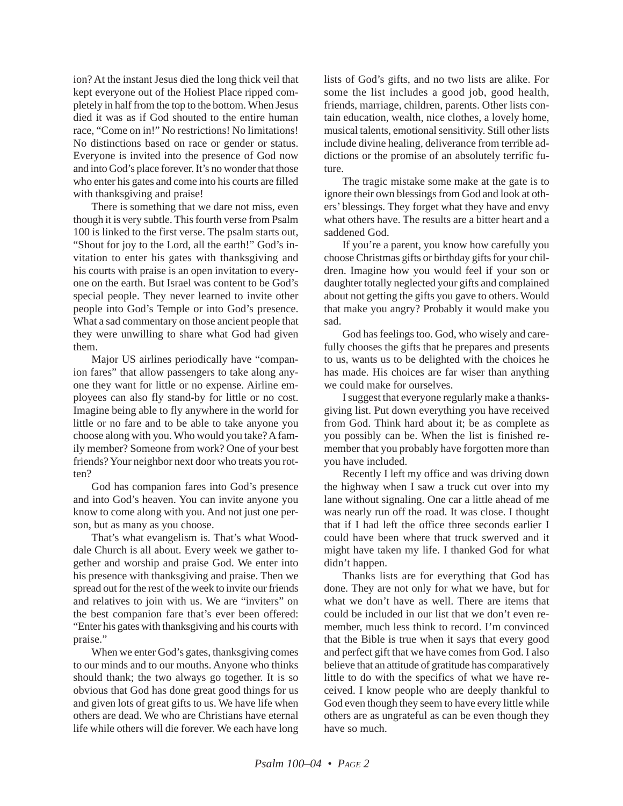ion? At the instant Jesus died the long thick veil that kept everyone out of the Holiest Place ripped completely in half from the top to the bottom. When Jesus died it was as if God shouted to the entire human race, "Come on in!" No restrictions! No limitations! No distinctions based on race or gender or status. Everyone is invited into the presence of God now and into God's place forever. It's no wonder that those who enter his gates and come into his courts are filled with thanksgiving and praise!

There is something that we dare not miss, even though it is very subtle. This fourth verse from Psalm 100 is linked to the first verse. The psalm starts out, "Shout for joy to the Lord, all the earth!" God's invitation to enter his gates with thanksgiving and his courts with praise is an open invitation to everyone on the earth. But Israel was content to be God's special people. They never learned to invite other people into God's Temple or into God's presence. What a sad commentary on those ancient people that they were unwilling to share what God had given them.

Major US airlines periodically have "companion fares" that allow passengers to take along anyone they want for little or no expense. Airline employees can also fly stand-by for little or no cost. Imagine being able to fly anywhere in the world for little or no fare and to be able to take anyone you choose along with you. Who would you take? A family member? Someone from work? One of your best friends? Your neighbor next door who treats you rotten?

God has companion fares into God's presence and into God's heaven. You can invite anyone you know to come along with you. And not just one person, but as many as you choose.

That's what evangelism is. That's what Wooddale Church is all about. Every week we gather together and worship and praise God. We enter into his presence with thanksgiving and praise. Then we spread out for the rest of the week to invite our friends and relatives to join with us. We are "inviters" on the best companion fare that's ever been offered: "Enter his gates with thanksgiving and his courts with praise."

When we enter God's gates, thanksgiving comes to our minds and to our mouths. Anyone who thinks should thank; the two always go together. It is so obvious that God has done great good things for us and given lots of great gifts to us. We have life when others are dead. We who are Christians have eternal life while others will die forever. We each have long lists of God's gifts, and no two lists are alike. For some the list includes a good job, good health, friends, marriage, children, parents. Other lists contain education, wealth, nice clothes, a lovely home, musical talents, emotional sensitivity. Still other lists include divine healing, deliverance from terrible addictions or the promise of an absolutely terrific future.

The tragic mistake some make at the gate is to ignore their own blessings from God and look at others' blessings. They forget what they have and envy what others have. The results are a bitter heart and a saddened God.

If you're a parent, you know how carefully you choose Christmas gifts or birthday gifts for your children. Imagine how you would feel if your son or daughter totally neglected your gifts and complained about not getting the gifts you gave to others. Would that make you angry? Probably it would make you sad.

God has feelings too. God, who wisely and carefully chooses the gifts that he prepares and presents to us, wants us to be delighted with the choices he has made. His choices are far wiser than anything we could make for ourselves.

I suggest that everyone regularly make a thanksgiving list. Put down everything you have received from God. Think hard about it; be as complete as you possibly can be. When the list is finished remember that you probably have forgotten more than you have included.

Recently I left my office and was driving down the highway when I saw a truck cut over into my lane without signaling. One car a little ahead of me was nearly run off the road. It was close. I thought that if I had left the office three seconds earlier I could have been where that truck swerved and it might have taken my life. I thanked God for what didn't happen.

Thanks lists are for everything that God has done. They are not only for what we have, but for what we don't have as well. There are items that could be included in our list that we don't even remember, much less think to record. I'm convinced that the Bible is true when it says that every good and perfect gift that we have comes from God. I also believe that an attitude of gratitude has comparatively little to do with the specifics of what we have received. I know people who are deeply thankful to God even though they seem to have every little while others are as ungrateful as can be even though they have so much.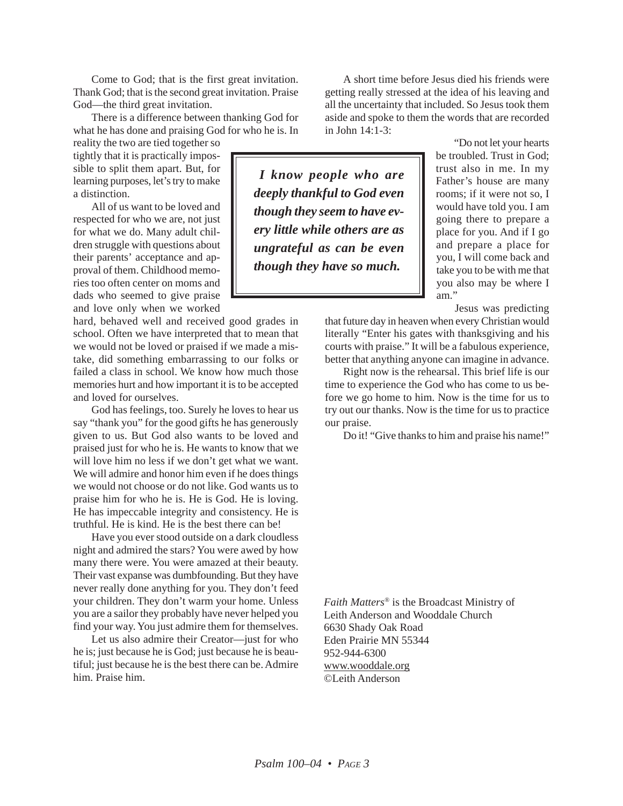Come to God; that is the first great invitation. Thank God; that is the second great invitation. Praise God—the third great invitation.

There is a difference between thanking God for what he has done and praising God for who he is. In

reality the two are tied together so tightly that it is practically impossible to split them apart. But, for learning purposes, let's try to make a distinction.

All of us want to be loved and respected for who we are, not just for what we do. Many adult children struggle with questions about their parents' acceptance and approval of them. Childhood memories too often center on moms and dads who seemed to give praise and love only when we worked

hard, behaved well and received good grades in school. Often we have interpreted that to mean that we would not be loved or praised if we made a mistake, did something embarrassing to our folks or failed a class in school. We know how much those memories hurt and how important it is to be accepted and loved for ourselves.

God has feelings, too. Surely he loves to hear us say "thank you" for the good gifts he has generously given to us. But God also wants to be loved and praised just for who he is. He wants to know that we will love him no less if we don't get what we want. We will admire and honor him even if he does things we would not choose or do not like. God wants us to praise him for who he is. He is God. He is loving. He has impeccable integrity and consistency. He is truthful. He is kind. He is the best there can be!

Have you ever stood outside on a dark cloudless night and admired the stars? You were awed by how many there were. You were amazed at their beauty. Their vast expanse was dumbfounding. But they have never really done anything for you. They don't feed your children. They don't warm your home. Unless you are a sailor they probably have never helped you find your way. You just admire them for themselves.

Let us also admire their Creator—just for who he is; just because he is God; just because he is beautiful; just because he is the best there can be. Admire him. Praise him.

*I know people who are deeply thankful to God even though they seem to have every little while others are as ungrateful as can be even though they have so much.*

A short time before Jesus died his friends were getting really stressed at the idea of his leaving and all the uncertainty that included. So Jesus took them aside and spoke to them the words that are recorded in John 14:1-3:

> "Do not let your hearts be troubled. Trust in God; trust also in me. In my Father's house are many rooms; if it were not so, I would have told you. I am going there to prepare a place for you. And if I go and prepare a place for you, I will come back and take you to be with me that you also may be where I am."

> > Jesus was predicting

that future day in heaven when every Christian would literally "Enter his gates with thanksgiving and his courts with praise." It will be a fabulous experience, better that anything anyone can imagine in advance.

Right now is the rehearsal. This brief life is our time to experience the God who has come to us before we go home to him. Now is the time for us to try out our thanks. Now is the time for us to practice our praise.

Do it! "Give thanks to him and praise his name!"

*Faith Matters®* is the Broadcast Ministry of Leith Anderson and Wooddale Church 6630 Shady Oak Road Eden Prairie MN 55344 952-944-6300 www.wooddale.org ©Leith Anderson